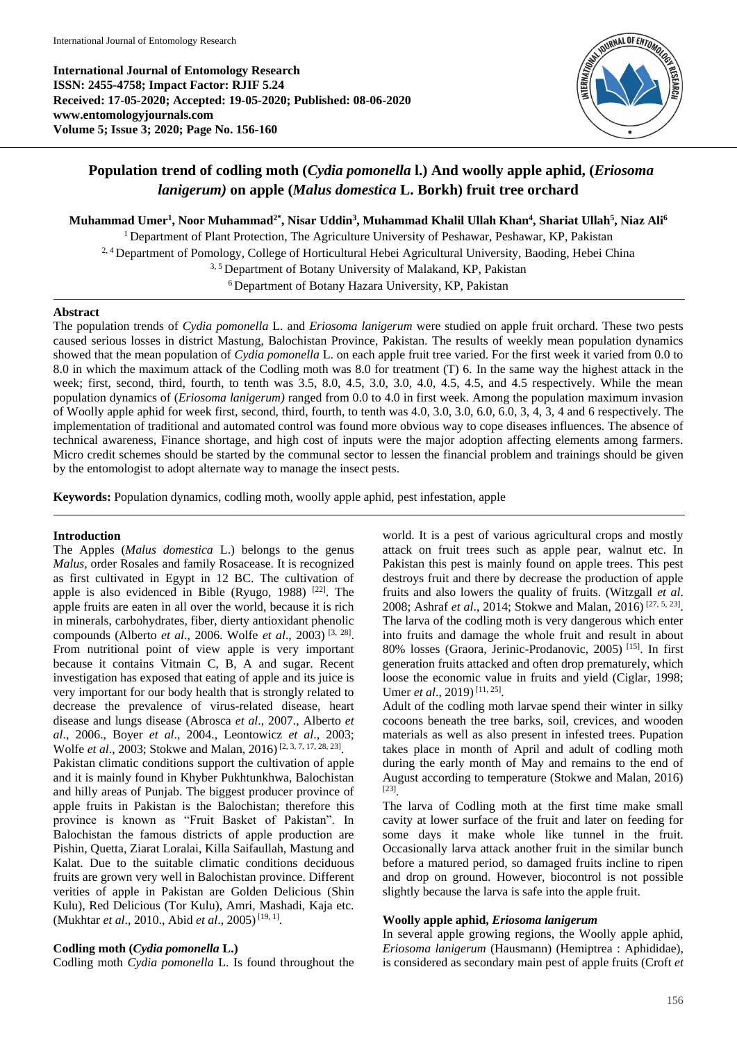**International Journal of Entomology Research ISSN: 2455-4758; Impact Factor: RJIF 5.24 Received: 17-05-2020; Accepted: 19-05-2020; Published: 08-06-2020 www.entomologyjournals.com Volume 5; Issue 3; 2020; Page No. 156-160**



# **Population trend of codling moth (***Cydia pomonella* **l.) And woolly apple aphid, (***Eriosoma lanigerum)* **on apple (***Malus domestica* **L. Borkh) fruit tree orchard**

**Muhammad Umer<sup>1</sup> , Noor Muhammad2\*, Nisar Uddin<sup>3</sup> , Muhammad Khalil Ullah Khan<sup>4</sup> , Shariat Ullah<sup>5</sup> , Niaz Ali<sup>6</sup>**

<sup>1</sup> Department of Plant Protection, The Agriculture University of Peshawar, Peshawar, KP, Pakistan 2, 4 Department of Pomology, College of Horticultural Hebei Agricultural University, Baoding, Hebei China <sup>3, 5</sup> Department of Botany University of Malakand, KP, Pakistan <sup>6</sup> Department of Botany Hazara University, KP, Pakistan

# **Abstract**

The population trends of *Cydia pomonella* L. and *Eriosoma lanigerum* were studied on apple fruit orchard. These two pests caused serious losses in district Mastung, Balochistan Province, Pakistan. The results of weekly mean population dynamics showed that the mean population of *Cydia pomonella* L. on each apple fruit tree varied. For the first week it varied from 0.0 to 8.0 in which the maximum attack of the Codling moth was 8.0 for treatment (T) 6. In the same way the highest attack in the week; first, second, third, fourth, to tenth was 3.5, 8.0, 4.5, 3.0, 3.0, 4.0, 4.5, 4.5, and 4.5 respectively. While the mean population dynamics of (*Eriosoma lanigerum)* ranged from 0.0 to 4.0 in first week. Among the population maximum invasion of Woolly apple aphid for week first, second, third, fourth, to tenth was 4.0, 3.0, 3.0, 6.0, 6.0, 3, 4, 3, 4 and 6 respectively. The implementation of traditional and automated control was found more obvious way to cope diseases influences. The absence of technical awareness, Finance shortage, and high cost of inputs were the major adoption affecting elements among farmers. Micro credit schemes should be started by the communal sector to lessen the financial problem and trainings should be given by the entomologist to adopt alternate way to manage the insect pests.

**Keywords:** Population dynamics, codling moth, woolly apple aphid, pest infestation, apple

# **Introduction**

The Apples (*Malus domestica* L.) belongs to the genus *Malus,* order Rosales and family Rosacease. It is recognized as first cultivated in Egypt in 12 BC. The cultivation of apple is also evidenced in Bible (Ryugo, 1988)  $[22]$ . The apple fruits are eaten in all over the world, because it is rich in minerals, carbohydrates, fiber, dierty antioxidant phenolic compounds (Alberto *et al*., 2006. Wolfe *et al*., 2003) [3, 28] . From nutritional point of view apple is very important because it contains Vitmain C, B, A and sugar. Recent investigation has exposed that eating of apple and its juice is very important for our body health that is strongly related to decrease the prevalence of virus-related disease, heart disease and lungs disease (Abrosca *et al*., 2007., Alberto *et al*., 2006., Boyer *et al*., 2004., Leontowicz *et al*., 2003; Wolfe *et al.*, 2003; Stokwe and Malan, 2016)<sup>[2, 3, 7, 17, 28, 23].</sup> Pakistan climatic conditions support the cultivation of apple and it is mainly found in Khyber Pukhtunkhwa, Balochistan and hilly areas of Punjab. The biggest producer province of apple fruits in Pakistan is the Balochistan; therefore this province is known as "Fruit Basket of Pakistan". In Balochistan the famous districts of apple production are Pishin, Quetta, Ziarat Loralai, Killa Saifaullah, Mastung and Kalat. Due to the suitable climatic conditions deciduous fruits are grown very well in Balochistan province. Different verities of apple in Pakistan are Golden Delicious (Shin Kulu), Red Delicious (Tor Kulu), Amri, Mashadi, Kaja etc. (Mukhtar *et al.*, 2010., Abid *et al.*, 2005)<sup>[19, 1]</sup>.

# **Codling moth (***Cydia pomonella* **L.)**

Codling moth *Cydia pomonella* L. Is found throughout the

world. It is a pest of various agricultural crops and mostly attack on fruit trees such as apple pear, walnut etc. In Pakistan this pest is mainly found on apple trees. This pest destroys fruit and there by decrease the production of apple fruits and also lowers the quality of fruits. (Witzgall *et al*. 2008; Ashraf *et al.*, 2014; Stokwe and Malan, 2016)<sup>[27, 5, 23].</sup> The larva of the codling moth is very dangerous which enter into fruits and damage the whole fruit and result in about 80% losses (Graora, Jerinic-Prodanovic, 2005) [15] . In first generation fruits attacked and often drop prematurely, which loose the economic value in fruits and yield (Ciglar, 1998; Umer *et al.*, 2019)<sup>[11, 25]</sup>.

Adult of the codling moth larvae spend their winter in silky cocoons beneath the tree barks, soil, crevices, and wooden materials as well as also present in infested trees. Pupation takes place in month of April and adult of codling moth during the early month of May and remains to the end of August according to temperature (Stokwe and Malan, 2016) [23] .

The larva of Codling moth at the first time make small cavity at lower surface of the fruit and later on feeding for some days it make whole like tunnel in the fruit. Occasionally larva attack another fruit in the similar bunch before a matured period, so damaged fruits incline to ripen and drop on ground. However, biocontrol is not possible slightly because the larva is safe into the apple fruit.

# **Woolly apple aphid,** *Eriosoma lanigerum*

In several apple growing regions, the Woolly apple aphid, *Eriosoma lanigerum* (Hausmann) (Hemiptrea : Aphididae), is considered as secondary main pest of apple fruits (Croft *et*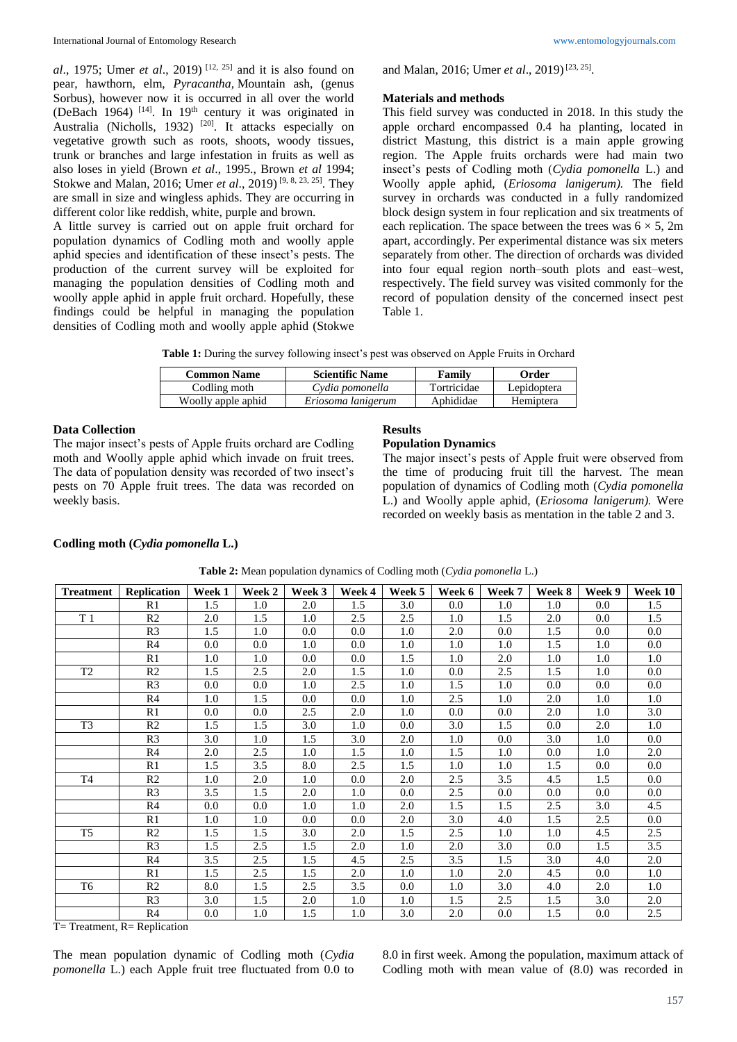*al*., 1975; Umer *et al*., 2019) [12, 25] and it is also found on pear, hawthorn, elm, *Pyracantha,* Mountain ash, (genus Sorbus), however now it is occurred in all over the world (DeBach 1964)<sup>[14]</sup>. In 19<sup>th</sup> century it was originated in Australia (Nicholls, 1932)<sup>[20]</sup>. It attacks especially on vegetative growth such as roots, shoots, woody tissues, trunk or branches and large infestation in fruits as well as also loses in yield (Brown *et al*., 1995., Brown *et al* 1994; Stokwe and Malan, 2016; Umer *et al.*, 2019)<sup>[9, 8, 23, 25]. They</sup> are small in size and wingless aphids. They are occurring in different color like reddish, white, purple and brown.

A little survey is carried out on apple fruit orchard for population dynamics of Codling moth and woolly apple aphid species and identification of these insect's pests. The production of the current survey will be exploited for managing the population densities of Codling moth and woolly apple aphid in apple fruit orchard. Hopefully, these findings could be helpful in managing the population densities of Codling moth and woolly apple aphid (Stokwe

and Malan, 2016; Umer et al., 2019)<sup>[23, 25]</sup>.

#### **Materials and methods**

This field survey was conducted in 2018. In this study the apple orchard encompassed 0.4 ha planting, located in district Mastung, this district is a main apple growing region. The Apple fruits orchards were had main two insect's pests of Codling moth (*Cydia pomonella* L.) and Woolly apple aphid, (*Eriosoma lanigerum).* The field survey in orchards was conducted in a fully randomized block design system in four replication and six treatments of each replication. The space between the trees was  $6 \times 5$ , 2m apart, accordingly. Per experimental distance was six meters separately from other. The direction of orchards was divided into four equal region north–south plots and east–west, respectively. The field survey was visited commonly for the record of population density of the concerned insect pest Table 1.

|  |  |  | Table 1: During the survey following insect's pest was observed on Apple Fruits in Orchard |
|--|--|--|--------------------------------------------------------------------------------------------|
|--|--|--|--------------------------------------------------------------------------------------------|

| <b>Common Name</b> | <b>Scientific Name</b> | Family      | Order       |
|--------------------|------------------------|-------------|-------------|
| Codling moth       | Cydia pomonella        | Tortricidae | Lepidoptera |
| Woolly apple aphid | Eriosoma lanigerum     | Aphididae   | Hemiptera   |

#### **Data Collection**

The major insect's pests of Apple fruits orchard are Codling moth and Woolly apple aphid which invade on fruit trees. The data of population density was recorded of two insect's pests on 70 Apple fruit trees. The data was recorded on weekly basis.

#### **Results**

#### **Population Dynamics**

The major insect's pests of Apple fruit were observed from the time of producing fruit till the harvest. The mean population of dynamics of Codling moth (*Cydia pomonella*  L.) and Woolly apple aphid, (*Eriosoma lanigerum).* Were recorded on weekly basis as mentation in the table 2 and 3.

#### **Codling moth (***Cydia pomonella* **L.)**

| <b>Treatment</b> | <b>Replication</b> | Week 1  | Week 2  | Week 3  | Week 4  | Week 5  | Week 6  | Week 7  | Week 8  | Week 9  | Week 10 |
|------------------|--------------------|---------|---------|---------|---------|---------|---------|---------|---------|---------|---------|
|                  | R1                 | 1.5     | 1.0     | 2.0     | 1.5     | 3.0     | $0.0\,$ | 1.0     | 1.0     | $0.0\,$ | 1.5     |
| T <sub>1</sub>   | R <sub>2</sub>     | 2.0     | 1.5     | $1.0\,$ | 2.5     | 2.5     | 1.0     | 1.5     | 2.0     | $0.0\,$ | 1.5     |
|                  | R <sub>3</sub>     | 1.5     | 1.0     | $0.0\,$ | $0.0\,$ | 1.0     | 2.0     | 0.0     | 1.5     | $0.0\,$ | $0.0\,$ |
|                  | R4                 | $0.0\,$ | $0.0\,$ | $1.0\,$ | $0.0\,$ | 1.0     | 1.0     | 1.0     | 1.5     | $1.0\,$ | $0.0\,$ |
|                  | R1                 | 1.0     | 1.0     | $0.0\,$ | $0.0\,$ | 1.5     | 1.0     | 2.0     | 1.0     | 1.0     | 1.0     |
| T <sub>2</sub>   | R <sub>2</sub>     | 1.5     | 2.5     | 2.0     | 1.5     | 1.0     | $0.0\,$ | 2.5     | 1.5     | 1.0     | $0.0\,$ |
|                  | R <sub>3</sub>     | $0.0\,$ | $0.0\,$ | $1.0\,$ | 2.5     | 1.0     | 1.5     | 1.0     | $0.0\,$ | $0.0\,$ | $0.0\,$ |
|                  | R4                 | 1.0     | 1.5     | $0.0\,$ | $0.0\,$ | 1.0     | 2.5     | 1.0     | 2.0     | 1.0     | 1.0     |
|                  | R1                 | $0.0\,$ | $0.0\,$ | 2.5     | 2.0     | 1.0     | $0.0\,$ | $0.0\,$ | 2.0     | 1.0     | 3.0     |
| T <sub>3</sub>   | R <sub>2</sub>     | 1.5     | 1.5     | 3.0     | 1.0     | 0.0     | 3.0     | 1.5     | $0.0\,$ | 2.0     | 1.0     |
|                  | R <sub>3</sub>     | 3.0     | 1.0     | 1.5     | 3.0     | 2.0     | 1.0     | 0.0     | 3.0     | 1.0     | $0.0\,$ |
|                  | R4                 | 2.0     | 2.5     | 1.0     | 1.5     | 1.0     | 1.5     | 1.0     | $0.0\,$ | 1.0     | 2.0     |
|                  | R1                 | 1.5     | 3.5     | 8.0     | 2.5     | 1.5     | 1.0     | 1.0     | 1.5     | $0.0\,$ | $0.0\,$ |
| T <sub>4</sub>   | R <sub>2</sub>     | 1.0     | 2.0     | 1.0     | $0.0\,$ | $2.0\,$ | 2.5     | 3.5     | 4.5     | 1.5     | $0.0\,$ |
|                  | R <sub>3</sub>     | 3.5     | 1.5     | 2.0     | 1.0     | 0.0     | 2.5     | $0.0\,$ | $0.0\,$ | $0.0\,$ | $0.0\,$ |
|                  | R4                 | $0.0\,$ | 0.0     | 1.0     | 1.0     | 2.0     | 1.5     | 1.5     | 2.5     | 3.0     | 4.5     |
|                  | R1                 | 1.0     | 1.0     | $0.0\,$ | $0.0\,$ | 2.0     | 3.0     | 4.0     | 1.5     | 2.5     | $0.0\,$ |
| T <sub>5</sub>   | R2                 | 1.5     | 1.5     | 3.0     | 2.0     | 1.5     | 2.5     | 1.0     | 1.0     | 4.5     | 2.5     |
|                  | R <sub>3</sub>     | 1.5     | 2.5     | 1.5     | 2.0     | 1.0     | 2.0     | 3.0     | $0.0\,$ | 1.5     | 3.5     |
|                  | R4                 | 3.5     | 2.5     | 1.5     | 4.5     | 2.5     | 3.5     | 1.5     | 3.0     | 4.0     | 2.0     |
|                  | R1                 | 1.5     | 2.5     | 1.5     | 2.0     | 1.0     | 1.0     | 2.0     | 4.5     | $0.0\,$ | 1.0     |
| T <sub>6</sub>   | R2                 | 8.0     | 1.5     | 2.5     | 3.5     | 0.0     | 1.0     | 3.0     | 4.0     | 2.0     | $1.0\,$ |
|                  | R <sub>3</sub>     | 3.0     | 1.5     | 2.0     | 1.0     | 1.0     | 1.5     | 2.5     | 1.5     | 3.0     | 2.0     |
|                  | R4                 | 0.0     | 1.0     | 1.5     | 1.0     | 3.0     | 2.0     | 0.0     | 1.5     | $0.0\,$ | 2.5     |

**Table 2:** Mean population dynamics of Codling moth (*Cydia pomonella* L.)

 $T=$  Treatment,  $R=$  Replication

The mean population dynamic of Codling moth (*Cydia pomonella* L.) each Apple fruit tree fluctuated from 0.0 to 8.0 in first week. Among the population, maximum attack of Codling moth with mean value of (8.0) was recorded in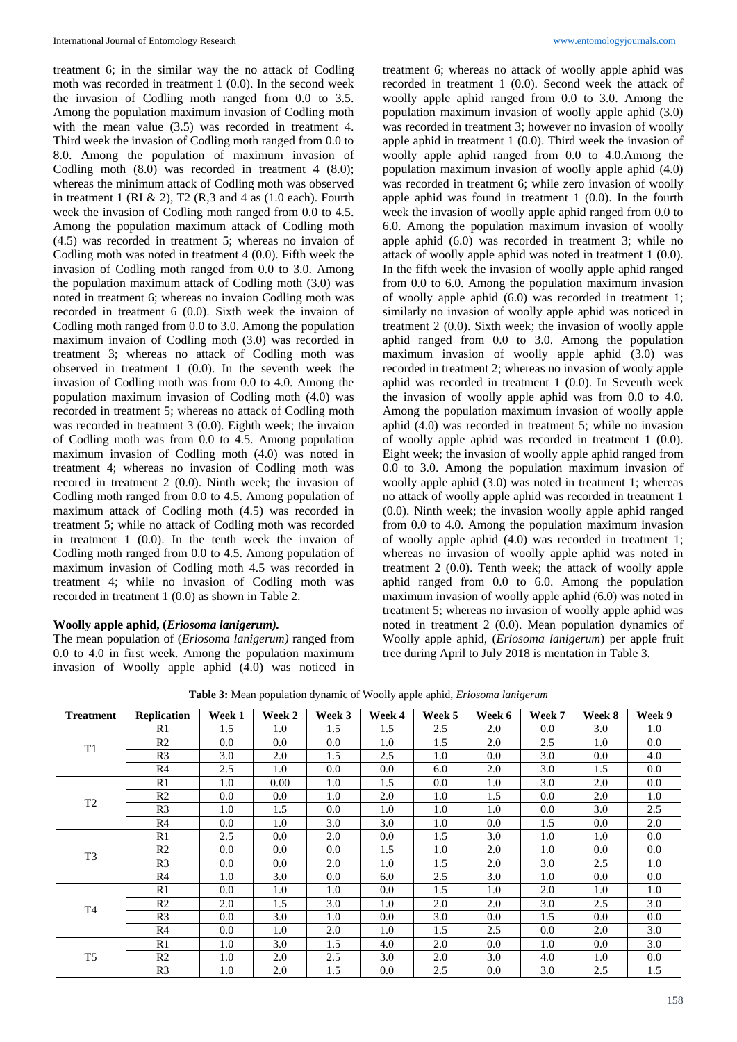treatment 6; in the similar way the no attack of Codling moth was recorded in treatment 1 (0.0). In the second week the invasion of Codling moth ranged from 0.0 to 3.5. Among the population maximum invasion of Codling moth with the mean value (3.5) was recorded in treatment 4. Third week the invasion of Codling moth ranged from 0.0 to 8.0. Among the population of maximum invasion of Codling moth (8.0) was recorded in treatment 4 (8.0); whereas the minimum attack of Codling moth was observed in treatment 1 (RI  $\&$  2), T2 (R, 3 and 4 as (1.0 each). Fourth week the invasion of Codling moth ranged from 0.0 to 4.5. Among the population maximum attack of Codling moth (4.5) was recorded in treatment 5; whereas no invaion of Codling moth was noted in treatment 4 (0.0). Fifth week the invasion of Codling moth ranged from 0.0 to 3.0. Among the population maximum attack of Codling moth (3.0) was noted in treatment 6; whereas no invaion Codling moth was recorded in treatment 6 (0.0). Sixth week the invaion of Codling moth ranged from 0.0 to 3.0. Among the population maximum invaion of Codling moth (3.0) was recorded in treatment 3; whereas no attack of Codling moth was observed in treatment 1 (0.0). In the seventh week the invasion of Codling moth was from 0.0 to 4.0. Among the population maximum invasion of Codling moth (4.0) was recorded in treatment 5; whereas no attack of Codling moth was recorded in treatment 3 (0.0). Eighth week; the invaion of Codling moth was from 0.0 to 4.5. Among population maximum invasion of Codling moth (4.0) was noted in treatment 4; whereas no invasion of Codling moth was recored in treatment 2 (0.0). Ninth week; the invasion of Codling moth ranged from 0.0 to 4.5. Among population of maximum attack of Codling moth (4.5) was recorded in treatment 5; while no attack of Codling moth was recorded in treatment 1 (0.0). In the tenth week the invaion of Codling moth ranged from 0.0 to 4.5. Among population of maximum invasion of Codling moth 4.5 was recorded in treatment 4; while no invasion of Codling moth was recorded in treatment 1 (0.0) as shown in Table 2.

#### **Woolly apple aphid, (***Eriosoma lanigerum).*

The mean population of (*Eriosoma lanigerum)* ranged from 0.0 to 4.0 in first week. Among the population maximum invasion of Woolly apple aphid (4.0) was noticed in

treatment 6; whereas no attack of woolly apple aphid was recorded in treatment 1 (0.0). Second week the attack of woolly apple aphid ranged from 0.0 to 3.0. Among the population maximum invasion of woolly apple aphid (3.0) was recorded in treatment 3; however no invasion of woolly apple aphid in treatment 1 (0.0). Third week the invasion of woolly apple aphid ranged from 0.0 to 4.0.Among the population maximum invasion of woolly apple aphid (4.0) was recorded in treatment 6; while zero invasion of woolly apple aphid was found in treatment 1 (0.0). In the fourth week the invasion of woolly apple aphid ranged from 0.0 to 6.0. Among the population maximum invasion of woolly apple aphid (6.0) was recorded in treatment 3; while no attack of woolly apple aphid was noted in treatment 1 (0.0). In the fifth week the invasion of woolly apple aphid ranged from 0.0 to 6.0. Among the population maximum invasion of woolly apple aphid (6.0) was recorded in treatment 1; similarly no invasion of woolly apple aphid was noticed in treatment 2 (0.0). Sixth week; the invasion of woolly apple aphid ranged from 0.0 to 3.0. Among the population maximum invasion of woolly apple aphid (3.0) was recorded in treatment 2; whereas no invasion of wooly apple aphid was recorded in treatment 1 (0.0). In Seventh week the invasion of woolly apple aphid was from 0.0 to 4.0. Among the population maximum invasion of woolly apple aphid (4.0) was recorded in treatment 5; while no invasion of woolly apple aphid was recorded in treatment 1 (0.0). Eight week; the invasion of woolly apple aphid ranged from 0.0 to 3.0. Among the population maximum invasion of woolly apple aphid (3.0) was noted in treatment 1; whereas no attack of woolly apple aphid was recorded in treatment 1 (0.0). Ninth week; the invasion woolly apple aphid ranged from 0.0 to 4.0. Among the population maximum invasion of woolly apple aphid (4.0) was recorded in treatment 1; whereas no invasion of woolly apple aphid was noted in treatment 2 (0.0). Tenth week; the attack of woolly apple aphid ranged from 0.0 to 6.0. Among the population maximum invasion of woolly apple aphid (6.0) was noted in treatment 5; whereas no invasion of woolly apple aphid was noted in treatment 2 (0.0). Mean population dynamics of Woolly apple aphid, (*Eriosoma lanigerum*) per apple fruit tree during April to July 2018 is mentation in Table 3.

| <b>Treatment</b> | <b>Replication</b> | Week 1 | Week 2 | Week 3  | <b>Week 4</b> | Week 5 | Week 6 | <b>Week 7</b> | Week 8 | Week 9 |
|------------------|--------------------|--------|--------|---------|---------------|--------|--------|---------------|--------|--------|
| T <sub>1</sub>   | R1                 | 1.5    | 1.0    | 1.5     | 1.5           | 2.5    | 2.0    | 0.0           | 3.0    | 1.0    |
|                  | R <sub>2</sub>     | 0.0    | 0.0    | 0.0     | 1.0           | 1.5    | 2.0    | 2.5           | 1.0    | 0.0    |
|                  | R <sub>3</sub>     | 3.0    | 2.0    | 1.5     | 2.5           | 1.0    | 0.0    | 3.0           | 0.0    | 4.0    |
|                  | R4                 | 2.5    | 1.0    | 0.0     | 0.0           | 6.0    | 2.0    | 3.0           | 1.5    | 0.0    |
|                  | R1                 | 1.0    | 0.00   | 1.0     | 1.5           | 0.0    | 1.0    | 3.0           | 2.0    | 0.0    |
|                  | R <sub>2</sub>     | 0.0    | 0.0    | 1.0     | 2.0           | 1.0    | 1.5    | 0.0           | 2.0    | 1.0    |
| T <sub>2</sub>   | R <sub>3</sub>     | 1.0    | 1.5    | 0.0     | 1.0           | 1.0    | 1.0    | 0.0           | 3.0    | 2.5    |
|                  | R <sub>4</sub>     | 0.0    | 1.0    | 3.0     | 3.0           | 1.0    | 0.0    | 1.5           | 0.0    | 2.0    |
|                  | R1                 | 2.5    | 0.0    | 2.0     | 0.0           | 1.5    | 3.0    | 1.0           | 1.0    | 0.0    |
| T <sub>3</sub>   | R <sub>2</sub>     | 0.0    | 0.0    | 0.0     | 1.5           | 1.0    | 2.0    | 1.0           | 0.0    | 0.0    |
|                  | R <sub>3</sub>     | 0.0    | 0.0    | 2.0     | 1.0           | 1.5    | 2.0    | 3.0           | 2.5    | 1.0    |
|                  | R4                 | 1.0    | 3.0    | 0.0     | 6.0           | 2.5    | 3.0    | 1.0           | 0.0    | 0.0    |
|                  | R1                 | 0.0    | 1.0    | $1.0\,$ | 0.0           | 1.5    | 1.0    | 2.0           | 1.0    | 1.0    |
| T <sub>4</sub>   | R <sub>2</sub>     | 2.0    | 1.5    | 3.0     | 1.0           | 2.0    | 2.0    | 3.0           | 2.5    | 3.0    |
|                  | R <sub>3</sub>     | 0.0    | 3.0    | 1.0     | 0.0           | 3.0    | 0.0    | 1.5           | 0.0    | 0.0    |
|                  | R <sub>4</sub>     | 0.0    | 1.0    | 2.0     | 1.0           | 1.5    | 2.5    | 0.0           | 2.0    | 3.0    |
| T <sub>5</sub>   | R1                 | 1.0    | 3.0    | 1.5     | 4.0           | 2.0    | 0.0    | 1.0           | 0.0    | 3.0    |
|                  | R <sub>2</sub>     | 1.0    | 2.0    | 2.5     | 3.0           | 2.0    | 3.0    | 4.0           | 1.0    | 0.0    |
|                  | R <sub>3</sub>     | 1.0    | 2.0    | 1.5     | 0.0           | 2.5    | 0.0    | 3.0           | 2.5    | 1.5    |

**Table 3:** Mean population dynamic of Woolly apple aphid, *Eriosoma lanigerum*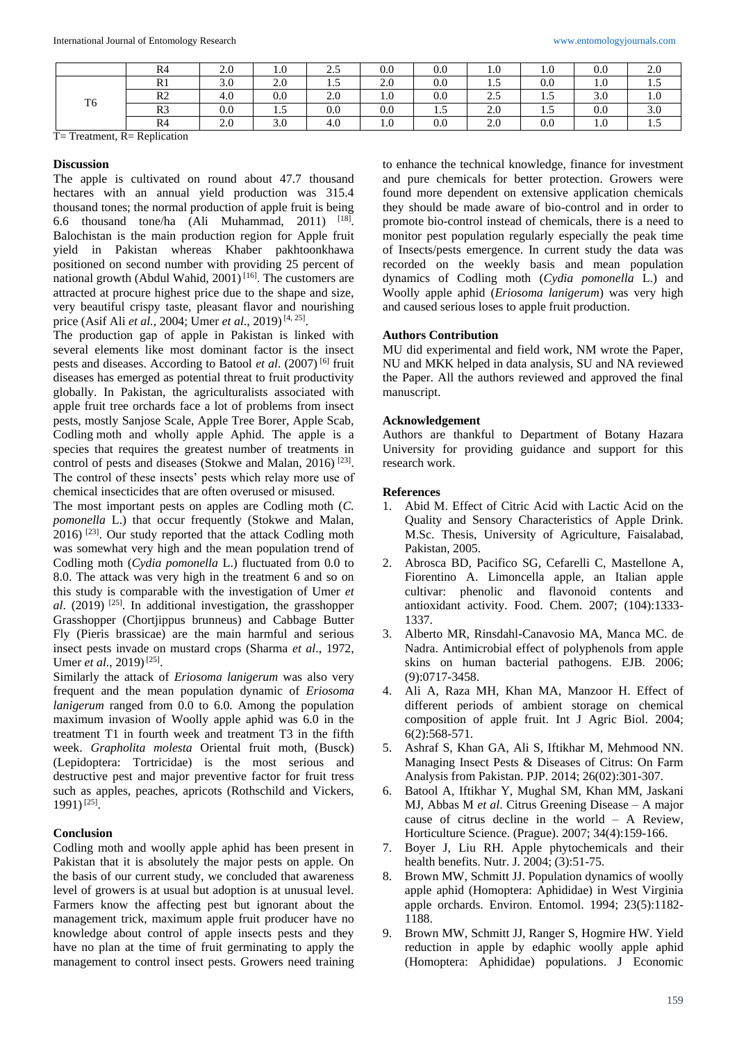|                | R4             | 2.0 | 1.0       | $\gamma$ $\epsilon$<br>ر… | 0.0     | 0.0           | 1.0           | 1.0 | 0.0 | 2.0                             |
|----------------|----------------|-----|-----------|---------------------------|---------|---------------|---------------|-----|-----|---------------------------------|
|                | R <sub>1</sub> | 3.0 | 2.0       | 1.J                       | 2.0     | 0.0           | $\sim$<br>1.5 | 0.0 | 1.0 | $\overline{\phantom{0}}$<br>1.5 |
|                | R <sub>2</sub> | 4.0 | 0.0       | 2.0                       | 1.0     | 0.0           | 2.5           | ر د | 3.0 | 1.0                             |
| T <sub>6</sub> | R <sub>3</sub> | 0.0 | $\cdot$ . | 0.0                       | $0.0\,$ | $\cdot \cdot$ | 2.0           | ر…  | 0.0 | 3.0                             |
|                | R <sub>4</sub> | 2.0 | 3.0       | 4.0                       | $1.0\,$ | 0.0           | 2.0           | 0.0 | 1.0 | $\overline{ }$<br>1.3           |

T= Treatment, R= Replication

#### **Discussion**

The apple is cultivated on round about 47.7 thousand hectares with an annual yield production was 315.4 thousand tones; the normal production of apple fruit is being 6.6 thousand tone/ha (Ali Muhammad, 2011) [18] . Balochistan is the main production region for Apple fruit yield in Pakistan whereas Khaber pakhtoonkhawa positioned on second number with providing 25 percent of national growth (Abdul Wahid, 2001)<sup>[16]</sup>. The customers are attracted at procure highest price due to the shape and size, very beautiful crispy taste, pleasant flavor and nourishing price (Asif Ali *et al.*, 2004; Umer *et al.*, 2019)<sup>[4, 25]</sup>.

The production gap of apple in Pakistan is linked with several elements like most dominant factor is the insect pests and diseases. According to Batool *et al*. (2007) [6] fruit diseases has emerged as potential threat to fruit productivity globally. In Pakistan, the agriculturalists associated with apple fruit tree orchards face a lot of problems from insect pests, mostly Sanjose Scale, Apple Tree Borer, Apple Scab, Codling moth and wholly apple Aphid. The apple is a species that requires the greatest number of treatments in control of pests and diseases (Stokwe and Malan, 2016)<sup>[23]</sup>. The control of these insects' pests which relay more use of chemical insecticides that are often overused or misused.

The most important pests on apples are Codling moth (*C. pomonella* L.) that occur frequently (Stokwe and Malan, 2016)<sup>[23]</sup>. Our study reported that the attack Codling moth was somewhat very high and the mean population trend of Codling moth (*Cydia pomonella* L.) fluctuated from 0.0 to 8.0. The attack was very high in the treatment 6 and so on this study is comparable with the investigation of Umer *et al*. (2019) [25] . In additional investigation, the grasshopper Grasshopper (Chortjippus brunneus) and Cabbage Butter Fly (Pieris brassicae) are the main harmful and serious insect pests invade on mustard crops (Sharma *et al*., 1972, Umer *et al.*, 2019)<sup>[25]</sup>.

Similarly the attack of *Eriosoma lanigerum* was also very frequent and the mean population dynamic of *Eriosoma lanigerum* ranged from 0.0 to 6.0. Among the population maximum invasion of Woolly apple aphid was 6.0 in the treatment T1 in fourth week and treatment T3 in the fifth week. *Grapholita molesta* Oriental fruit moth, (Busck) (Lepidoptera: Tortricidae) is the most serious and destructive pest and major preventive factor for fruit tress such as apples, peaches, apricots (Rothschild and Vickers, 1991)<sup>[25]</sup>.

#### **Conclusion**

Codling moth and woolly apple aphid has been present in Pakistan that it is absolutely the major pests on apple. On the basis of our current study, we concluded that awareness level of growers is at usual but adoption is at unusual level. Farmers know the affecting pest but ignorant about the management trick, maximum apple fruit producer have no knowledge about control of apple insects pests and they have no plan at the time of fruit germinating to apply the management to control insect pests. Growers need training

to enhance the technical knowledge, finance for investment and pure chemicals for better protection. Growers were found more dependent on extensive application chemicals they should be made aware of bio-control and in order to promote bio-control instead of chemicals, there is a need to monitor pest population regularly especially the peak time of Insects/pests emergence. In current study the data was recorded on the weekly basis and mean population dynamics of Codling moth (*Cydia pomonella* L.) and Woolly apple aphid (*Eriosoma lanigerum*) was very high and caused serious loses to apple fruit production.

#### **Authors Contribution**

MU did experimental and field work, NM wrote the Paper, NU and MKK helped in data analysis, SU and NA reviewed the Paper. All the authors reviewed and approved the final manuscript.

#### **Acknowledgement**

Authors are thankful to Department of Botany Hazara University for providing guidance and support for this research work.

#### **References**

- 1. Abid M. Effect of Citric Acid with Lactic Acid on the Quality and Sensory Characteristics of Apple Drink. M.Sc. Thesis, University of Agriculture, Faisalabad, Pakistan, 2005.
- 2. Abrosca BD, Pacifico SG, Cefarelli C, Mastellone A, Fiorentino A. Limoncella apple, an Italian apple cultivar: phenolic and flavonoid contents and antioxidant activity. Food. Chem. 2007; (104):1333- 1337.
- 3. Alberto MR, Rinsdahl-Canavosio MA, Manca MC. de Nadra. Antimicrobial effect of polyphenols from apple skins on human bacterial pathogens. EJB. 2006; (9):0717-3458.
- 4. Ali A, Raza MH, Khan MA, Manzoor H. Effect of different periods of ambient storage on chemical composition of apple fruit. Int J Agric Biol. 2004; 6(2):568-571.
- 5. Ashraf S, Khan GA, Ali S, Iftikhar M, Mehmood NN. Managing Insect Pests & Diseases of Citrus: On Farm Analysis from Pakistan. PJP. 2014; 26(02):301-307.
- 6. Batool A, Iftikhar Y, Mughal SM, Khan MM, Jaskani MJ, Abbas M *et al*. Citrus Greening Disease – A major cause of citrus decline in the world – A Review, Horticulture Science. (Prague). 2007; 34(4):159-166.
- 7. Boyer J, Liu RH. Apple phytochemicals and their health benefits. Nutr. J. 2004; (3):51-75.
- 8. Brown MW, Schmitt JJ. Population dynamics of woolly apple aphid (Homoptera: Aphididae) in West Virginia apple orchards. Environ. Entomol. 1994; 23(5):1182- 1188.
- 9. Brown MW, Schmitt JJ, Ranger S, Hogmire HW. Yield reduction in apple by edaphic woolly apple aphid (Homoptera: Aphididae) populations. J Economic